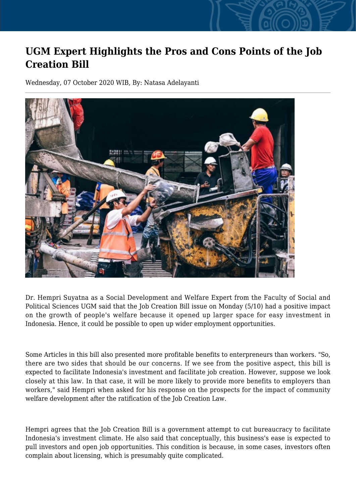## **UGM Expert Highlights the Pros and Cons Points of the Job Creation Bill**

Wednesday, 07 October 2020 WIB, By: Natasa Adelayanti



Dr. Hempri Suyatna as a Social Development and Welfare Expert from the Faculty of Social and Political Sciences UGM said that the Job Creation Bill issue on Monday (5/10) had a positive impact on the growth of people's welfare because it opened up larger space for easy investment in Indonesia. Hence, it could be possible to open up wider employment opportunities.

Some Articles in this bill also presented more profitable benefits to enterpreneurs than workers. "So, there are two sides that should be our concerns. If we see from the positive aspect, this bill is expected to facilitate Indonesia's investment and facilitate job creation. However, suppose we look closely at this law. In that case, it will be more likely to provide more benefits to employers than workers," said Hempri when asked for his response on the prospects for the impact of community welfare development after the ratification of the Job Creation Law.

Hempri agrees that the Job Creation Bill is a government attempt to cut bureaucracy to facilitate Indonesia's investment climate. He also said that conceptually, this business's ease is expected to pull investors and open job opportunities. This condition is because, in some cases, investors often complain about licensing, which is presumably quite complicated.